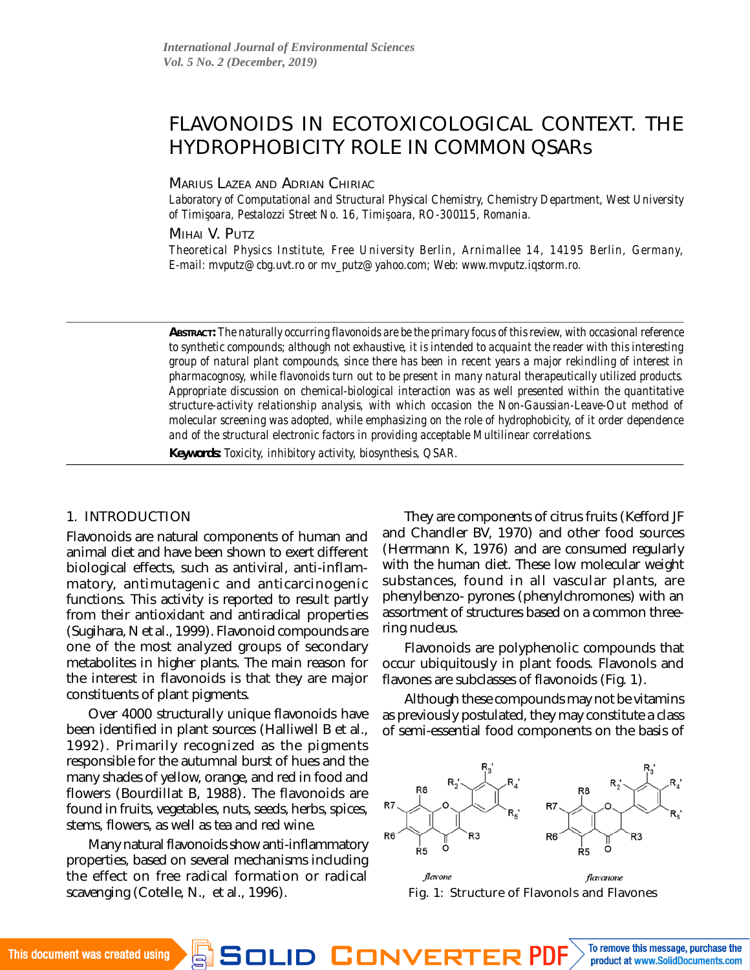# FLAVONOIDS IN ECOTOXICOLOGICAL CONTEXT. THE HYDROPHOBICITY ROLE IN COMMON QSARs

#### MARIUS LAZEA AND ADRIAN CHIRIAC

*Laboratory of Computational and Structural Physical Chemistry, Chemistry Department, West University of Timis¸oara, Pestalozzi Street No. 16, Timis¸oara, RO-300115, Romania.*

MIHAI V. PUTZ

*Theoretical Physics Institute, Free University Berlin, Arnimallee 14, 14195 Berlin, Germany, E-mail: [mvputz@cbg.uvt.ro](mailto:mvputz@cbg.uvt.ro) or [mv\\_putz@yahoo.com;](mailto:mv_putz@yahoo.com) Web: [www.mvputz.iqstorm.ro.](www.mvputz.iqstorm.ro)*

*ABSTRACT: The naturally occurring flavonoids are be the primary focus of this review, with occasional reference to synthetic compounds; although not exhaustive, it is intended to acquaint the reader with this interesting group of natural plant compounds, since there has been in recent years a major rekindling of interest in pharmacognosy, while flavonoids turn out to be present in many natural therapeutically utilized products. Appropriate discussion on chemical-biological interaction was as well presented within the quantitative structure-activity relationship analysis, with which occasion the Non-Gaussian-Leave-Out method of molecular screening was adopted, while emphasizing on the role of hydrophobicity, of it order dependence and of the structural electronic factors in providing acceptable Multilinear correlations.*

*Keywords: Toxicity, inhibitory activity, biosynthesis, QSAR.*

#### 1. INTRODUCTION

Flavonoids are natural components of human and animal diet and have been shown to exert different biological effects, such as antiviral, anti-inflammatory, antimutagenic and anticarcinogenic functions. This activity is reported to result partly from their antioxidant and antiradical properties (Sugihara, N et al., 1999). Flavonoid compounds are one of the most analyzed groups of secondary metabolites in higher plants. The main reason for the interest in flavonoids is that they are major constituents of plant pigments.

Over 4000 structurally unique flavonoids have been identified in plant sources (Halliwell B et al., 1992). Primarily recognized as the pigments responsible for the autumnal burst of hues and the many shades of yellow, orange, and red in food and flowers (Bourdillat B, 1988). The flavonoids are found in fruits, vegetables, nuts, seeds, herbs, spices, stems, flowers, as well as tea and red wine.

Many natural flavonoids show anti-inflammatory properties, based on several mechanisms including the effect on free radical formation or radical scavenging (Cotelle, N., et al., 1996).

They are components of citrus fruits (Kefford JF and Chandler BV, 1970) and other food sources (Herrmann K, 1976) and are consumed regularly with the human diet. These low molecular weight substances, found in all vascular plants, are phenylbenzo- pyrones (phenylchromones) with an assortment of structures based on a common threering nucleus.

Flavonoids are polyphenolic compounds that occur ubiquitously in plant foods. Flavonols and flavones are subclasses of flavonoids (Fig. 1).

Although these compounds may not be vitamins as previously postulated, they may constitute a class of semi-essential food components on the basis of



Fig. 1: Structure of Flavonols and Flavones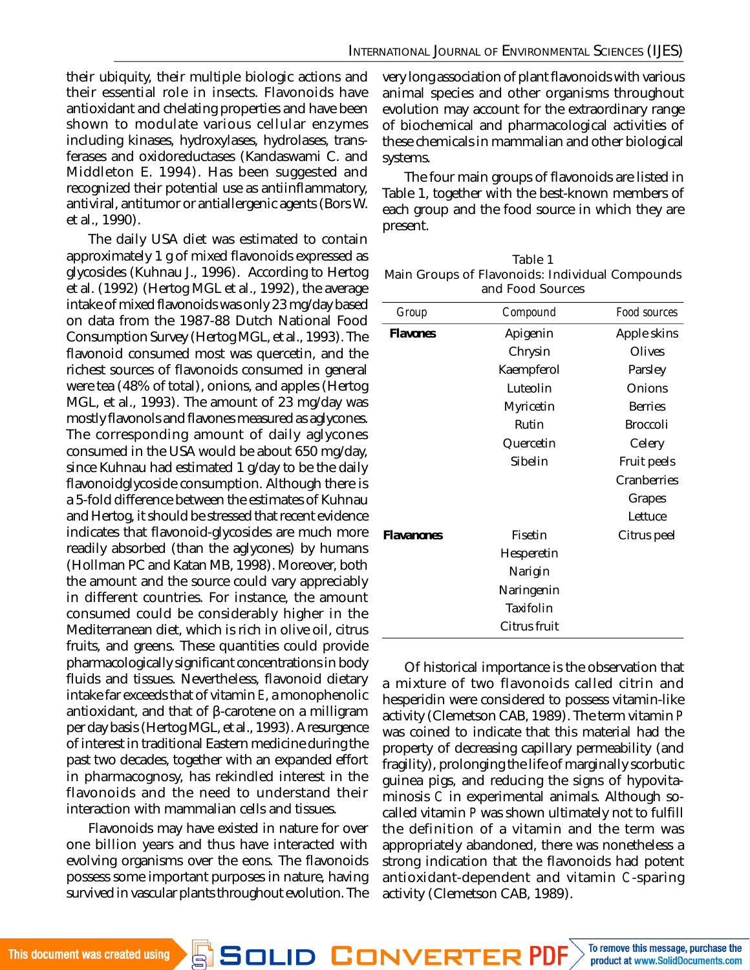their ubiquity, their multiple biologic actions and their essential role in insects. Flavonoids have antioxidant and chelating properties and have been shown to modulate various cellular enzymes including kinases, hydroxylases, hydrolases, transferases and oxidoreductases (Kandaswami C. and Middleton E. 1994). Has been suggested and recognized their potential use as antiinflammatory, antiviral, antitumor or antiallergenic agents (Bors W. et al., 1990).

The daily USA diet was estimated to contain approximately 1 g of mixed flavonoids expressed as glycosides (Kuhnau J., 1996). According to Hertog et al. (1992) (Hertog MGL et al., 1992), the average intake of mixed flavonoids was only 23 mg/day based on data from the 1987-88 Dutch National Food Consumption Survey (Hertog MGL, et al., 1993). The flavonoid consumed most was quercetin, and the richest sources of flavonoids consumed in general were tea (48% of total), onions, and apples (Hertog MGL, et al., 1993). The amount of 23 mg/day was mostly flavonols and flavones measured as aglycones. The corresponding amount of daily aglycones consumed in the USA would be about 650 mg/day, since Kuhnau had estimated 1 g/day to be the daily flavonoidglycoside consumption. Although there is a 5-fold difference between the estimates of Kuhnau and Hertog, it should be stressed that recent evidence indicates that flavonoid-glycosides are much more readily absorbed (than the aglycones) by humans (Hollman PC and Katan MB, 1998). Moreover, both the amount and the source could vary appreciably in different countries. For instance, the amount consumed could be considerably higher in the Mediterranean diet, which is rich in olive oil, citrus fruits, and greens. These quantities could provide pharmacologically significant concentrations in body fluids and tissues. Nevertheless, flavonoid dietary intake far exceeds that of vitamin *E*, a monophenolic antioxidant, and that of β-carotene on a milligram per day basis (Hertog MGL, et al., 1993). A resurgence of interest in traditional Eastern medicine during the past two decades, together with an expanded effort in pharmacognosy, has rekindled interest in the flavonoids and the need to understand their interaction with mammalian cells and tissues.

Flavonoids may have existed in nature for over one billion years and thus have interacted with evolving organisms over the eons. The flavonoids possess some important purposes in nature, having survived in vascular plants throughout evolution. The very long association of plant flavonoids with various animal species and other organisms throughout evolution may account for the extraordinary range of biochemical and pharmacological activities of these chemicals in mammalian and other biological systems.

The four main groups of flavonoids are listed in Table 1, together with the best-known members of each group and the food source in which they are present.

| Table 1                                         |
|-------------------------------------------------|
| Main Groups of Flavonoids: Individual Compounds |
| and Food Sources                                |

| Group             | Compound     | Food sources    |
|-------------------|--------------|-----------------|
| <b>Flavones</b>   | Apigenin     | Apple skins     |
|                   | Chrysin      | Olives          |
|                   | Kaempferol   | Parsley         |
|                   | Luteolin     | Onions          |
|                   | Myricetin    | <b>Berries</b>  |
|                   | Rutin        | <b>Broccoli</b> |
|                   | Quercetin    | Celery          |
|                   | Sibelin      | Fruit peels     |
|                   |              | Cranberries     |
|                   |              | Grapes          |
|                   |              | Lettuce         |
| <b>Flavanones</b> | Fisetin      | Citrus peel     |
|                   | Hesperetin   |                 |
|                   | Narigin      |                 |
|                   | Naringenin   |                 |
|                   | Taxifolin    |                 |
|                   | Citrus fruit |                 |
|                   |              |                 |

Of historical importance is the observation that a mixture of two flavonoids called citrin and hesperidin were considered to possess vitamin-like activity (Clemetson CAB, 1989). The term vitamin *P* was coined to indicate that this material had the property of decreasing capillary permeability (and fragility), prolonging the life of marginally scorbutic guinea pigs, and reducing the signs of hypovitaminosis *C* in experimental animals. Although socalled vitamin *P* was shown ultimately not to fulfill the definition of a vitamin and the term was appropriately abandoned, there was nonetheless a strong indication that the flavonoids had potent antioxidant-dependent and vitamin *C*-sparing activity (Clemetson CAB, 1989).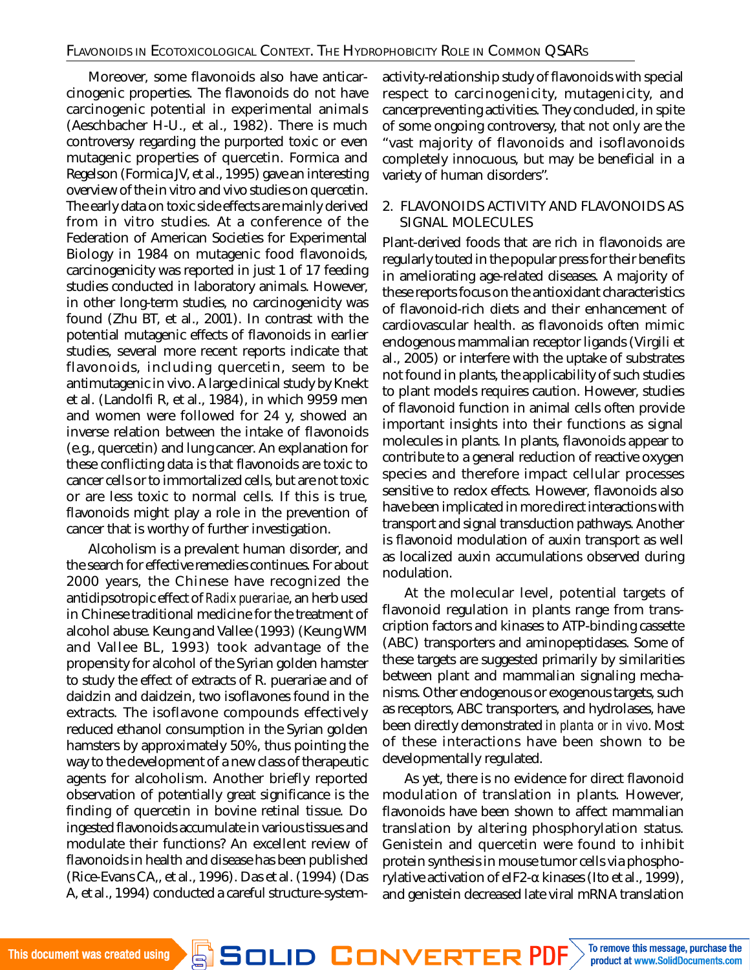Moreover, some flavonoids also have anticarcinogenic properties. The flavonoids do not have carcinogenic potential in experimental animals (Aeschbacher H-U., et al., 1982). There is much controversy regarding the purported toxic or even mutagenic properties of quercetin. Formica and Regelson (Formica JV, et al., 1995) gave an interesting overview of the in vitro and vivo studies on quercetin. The early data on toxic side effects are mainly derived from in vitro studies. At a conference of the Federation of American Societies for Experimental Biology in 1984 on mutagenic food flavonoids, carcinogenicity was reported in just 1 of 17 feeding studies conducted in laboratory animals. However, in other long-term studies, no carcinogenicity was found (Zhu BT, et al., 2001). In contrast with the potential mutagenic effects of flavonoids in earlier studies, several more recent reports indicate that flavonoids, including quercetin, seem to be antimutagenic in vivo. A large clinical study by Knekt et al. (Landolfi R, et al., 1984), in which 9959 men and women were followed for 24 y, showed an inverse relation between the intake of flavonoids (e.g., quercetin) and lung cancer. An explanation for these conflicting data is that flavonoids are toxic to cancer cells or to immortalized cells, but are not toxic or are less toxic to normal cells. If this is true, flavonoids might play a role in the prevention of cancer that is worthy of further investigation.

Alcoholism is a prevalent human disorder, and the search for effective remedies continues. For about 2000 years, the Chinese have recognized the antidipsotropic effect of *Radix puerariae*, an herb used in Chinese traditional medicine for the treatment of alcohol abuse. Keung and Vallee (1993) (Keung WM and Vallee BL, 1993) took advantage of the propensity for alcohol of the Syrian golden hamster to study the effect of extracts of R. puerariae and of daidzin and daidzein, two isoflavones found in the extracts. The isoflavone compounds effectively reduced ethanol consumption in the Syrian golden hamsters by approximately 50%, thus pointing the way to the development of a new class of therapeutic agents for alcoholism. Another briefly reported observation of potentially great significance is the finding of quercetin in bovine retinal tissue. Do ingested flavonoids accumulate in various tissues and modulate their functions? An excellent review of flavonoids in health and disease has been published (Rice-Evans CA,, et al., 1996). Das et al. (1994) (Das A, et al., 1994) conducted a careful structure-systemactivity-relationship study of flavonoids with special respect to carcinogenicity, mutagenicity, and cancerpreventing activities. They concluded, in spite of some ongoing controversy, that not only are the "vast majority of flavonoids and isoflavonoids completely innocuous, but may be beneficial in a variety of human disorders".

### 2. FLAVONOIDS ACTIVITY AND FLAVONOIDS AS SIGNAL MOLECULES

Plant-derived foods that are rich in flavonoids are regularly touted in the popular press for their benefits in ameliorating age-related diseases. A majority of these reports focus on the antioxidant characteristics of flavonoid-rich diets and their enhancement of cardiovascular health. as flavonoids often mimic endogenous mammalian receptor ligands (Virgili et al., 2005) or interfere with the uptake of substrates not found in plants, the applicability of such studies to plant models requires caution. However, studies of flavonoid function in animal cells often provide important insights into their functions as signal molecules in plants. In plants, flavonoids appear to contribute to a general reduction of reactive oxygen species and therefore impact cellular processes sensitive to redox effects. However, flavonoids also have been implicated in more direct interactions with transport and signal transduction pathways. Another is flavonoid modulation of auxin transport as well as localized auxin accumulations observed during nodulation.

At the molecular level, potential targets of flavonoid regulation in plants range from transcription factors and kinases to ATP-binding cassette (ABC) transporters and aminopeptidases. Some of these targets are suggested primarily by similarities between plant and mammalian signaling mechanisms. Other endogenous or exogenous targets, such as receptors, ABC transporters, and hydrolases, have been directly demonstrated *in planta or in vivo*. Most of these interactions have been shown to be developmentally regulated.

As yet, there is no evidence for direct flavonoid modulation of translation in plants. However, flavonoids have been shown to affect mammalian translation by altering phosphorylation status. Genistein and quercetin were found to inhibit protein synthesis in mouse tumor cells via phosphorylative activation of eIF2-α kinases (Ito et al., 1999), and genistein decreased late viral mRNA translation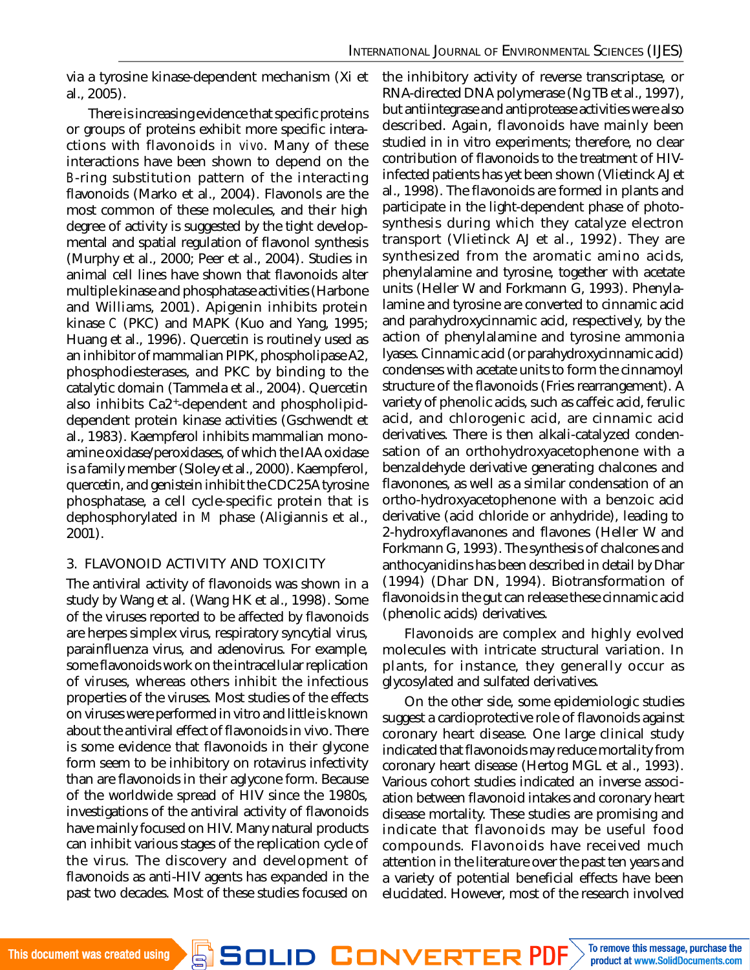via a tyrosine kinase-dependent mechanism (Xi et al., 2005).

There is increasing evidence that specific proteins or groups of proteins exhibit more specific interactions with flavonoids *in vivo*. Many of these interactions have been shown to depend on the *B*-ring substitution pattern of the interacting flavonoids (Marko et al., 2004). Flavonols are the most common of these molecules, and their high degree of activity is suggested by the tight developmental and spatial regulation of flavonol synthesis (Murphy et al., 2000; Peer et al., 2004). Studies in animal cell lines have shown that flavonoids alter multiple kinase and phosphatase activities (Harbone and Williams, 2001). Apigenin inhibits protein kinase *C* (PKC) and MAPK (Kuo and Yang, 1995; Huang et al., 1996). Quercetin is routinely used as an inhibitor of mammalian PIPK, phospholipase A2, phosphodiesterases, and PKC by binding to the catalytic domain (Tammela et al., 2004). Quercetin also inhibits Ca2<sup>+</sup> -dependent and phospholipiddependent protein kinase activities (Gschwendt et al., 1983). Kaempferol inhibits mammalian monoamine oxidase/peroxidases, of which the IAA oxidase is a family member (Sloley et al., 2000). Kaempferol, quercetin, and genistein inhibit the CDC25A tyrosine phosphatase, a cell cycle-specific protein that is dephosphorylated in *M* phase (Aligiannis et al., 2001).

## 3. FLAVONOID ACTIVITY AND TOXICITY

The antiviral activity of flavonoids was shown in a study by Wang et al. (Wang HK et al., 1998). Some of the viruses reported to be affected by flavonoids are herpes simplex virus, respiratory syncytial virus, parainfluenza virus, and adenovirus. For example, some flavonoids work on the intracellular replication of viruses, whereas others inhibit the infectious properties of the viruses. Most studies of the effects on viruses were performed in vitro and little is known about the antiviral effect of flavonoids in vivo. There is some evidence that flavonoids in their glycone form seem to be inhibitory on rotavirus infectivity than are flavonoids in their aglycone form. Because of the worldwide spread of HIV since the 1980s, investigations of the antiviral activity of flavonoids have mainly focused on HIV. Many natural products can inhibit various stages of the replication cycle of the virus. The discovery and development of flavonoids as anti-HIV agents has expanded in the past two decades. Most of these studies focused on

the inhibitory activity of reverse transcriptase, or RNA-directed DNA polymerase (Ng TB et al., 1997), but antiintegrase and antiprotease activities were also described. Again, flavonoids have mainly been studied in in vitro experiments; therefore, no clear contribution of flavonoids to the treatment of HIVinfected patients has yet been shown (Vlietinck AJ et al., 1998). The flavonoids are formed in plants and participate in the light-dependent phase of photosynthesis during which they catalyze electron transport (Vlietinck AJ et al., 1992). They are synthesized from the aromatic amino acids, phenylalamine and tyrosine, together with acetate units (Heller W and Forkmann G, 1993). Phenylalamine and tyrosine are converted to cinnamic acid and parahydroxycinnamic acid, respectively, by the action of phenylalamine and tyrosine ammonia lyases. Cinnamic acid (or parahydroxycinnamic acid) condenses with acetate units to form the cinnamoyl structure of the flavonoids (Fries rearrangement). A variety of phenolic acids, such as caffeic acid, ferulic acid, and chlorogenic acid, are cinnamic acid derivatives. There is then alkali-catalyzed condensation of an orthohydroxyacetophenone with a benzaldehyde derivative generating chalcones and flavonones, as well as a similar condensation of an ortho-hydroxyacetophenone with a benzoic acid derivative (acid chloride or anhydride), leading to 2-hydroxyflavanones and flavones (Heller W and Forkmann G, 1993). The synthesis of chalcones and anthocyanidins has been described in detail by Dhar (1994) (Dhar DN, 1994). Biotransformation of flavonoids in the gut can release these cinnamic acid (phenolic acids) derivatives.

Flavonoids are complex and highly evolved molecules with intricate structural variation. In plants, for instance, they generally occur as glycosylated and sulfated derivatives.

On the other side, some epidemiologic studies suggest a cardioprotective role of flavonoids against coronary heart disease. One large clinical study indicated that flavonoids may reduce mortality from coronary heart disease (Hertog MGL et al., 1993). Various cohort studies indicated an inverse association between flavonoid intakes and coronary heart disease mortality. These studies are promising and indicate that flavonoids may be useful food compounds. Flavonoids have received much attention in the literature over the past ten years and a variety of potential beneficial effects have been elucidated. However, most of the research involved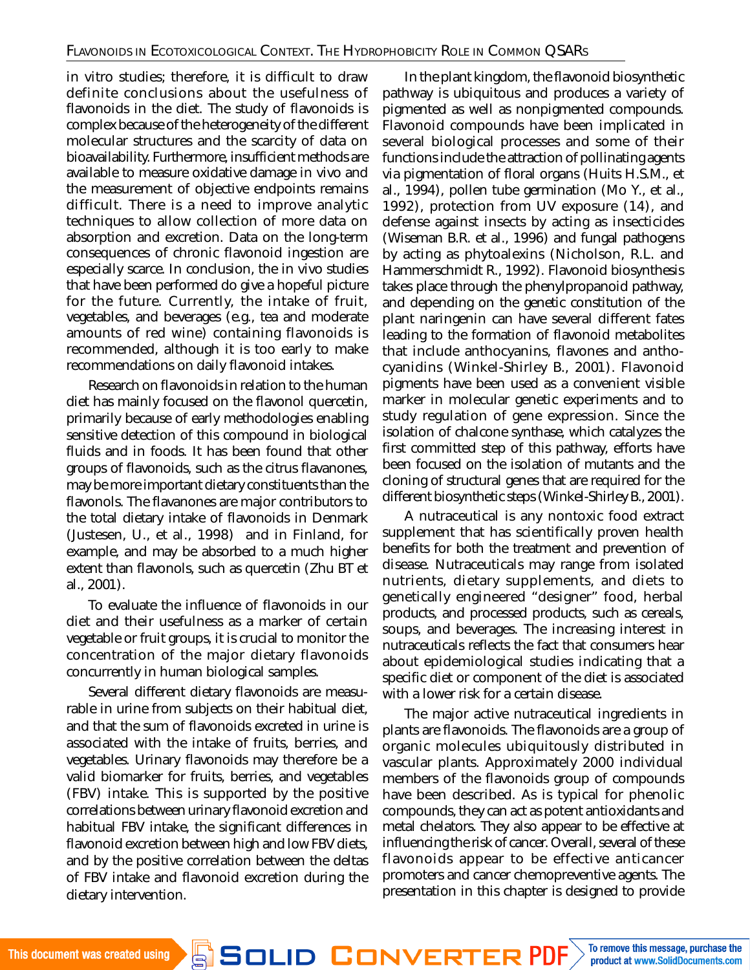in vitro studies; therefore, it is difficult to draw definite conclusions about the usefulness of flavonoids in the diet. The study of flavonoids is complex because of the heterogeneity of the different molecular structures and the scarcity of data on bioavailability. Furthermore, insufficient methods are available to measure oxidative damage in vivo and the measurement of objective endpoints remains difficult. There is a need to improve analytic techniques to allow collection of more data on absorption and excretion. Data on the long-term consequences of chronic flavonoid ingestion are especially scarce. In conclusion, the in vivo studies that have been performed do give a hopeful picture for the future. Currently, the intake of fruit, vegetables, and beverages (e.g., tea and moderate amounts of red wine) containing flavonoids is recommended, although it is too early to make recommendations on daily flavonoid intakes.

Research on flavonoids in relation to the human diet has mainly focused on the flavonol quercetin, primarily because of early methodologies enabling sensitive detection of this compound in biological fluids and in foods. It has been found that other groups of flavonoids, such as the citrus flavanones, may be more important dietary constituents than the flavonols. The flavanones are major contributors to the total dietary intake of flavonoids in Denmark (Justesen, U., et al., 1998) and in Finland, for example, and may be absorbed to a much higher extent than flavonols, such as quercetin (Zhu BT et al., 2001).

To evaluate the influence of flavonoids in our diet and their usefulness as a marker of certain vegetable or fruit groups, it is crucial to monitor the concentration of the major dietary flavonoids concurrently in human biological samples.

Several different dietary flavonoids are measurable in urine from subjects on their habitual diet, and that the sum of flavonoids excreted in urine is associated with the intake of fruits, berries, and vegetables. Urinary flavonoids may therefore be a valid biomarker for fruits, berries, and vegetables (FBV) intake. This is supported by the positive correlations between urinary flavonoid excretion and habitual FBV intake, the significant differences in flavonoid excretion between high and low FBV diets, and by the positive correlation between the deltas of FBV intake and flavonoid excretion during the dietary intervention.

In the plant kingdom, the flavonoid biosynthetic pathway is ubiquitous and produces a variety of pigmented as well as nonpigmented compounds. Flavonoid compounds have been implicated in several biological processes and some of their functions include the attraction of pollinating agents via pigmentation of floral organs (Huits H.S.M., et al., 1994), pollen tube germination (Mo Y., et al., 1992), protection from UV exposure (14), and defense against insects by acting as insecticides (Wiseman B.R. et al., 1996) and fungal pathogens by acting as phytoalexins (Nicholson, R.L. and Hammerschmidt R., 1992). Flavonoid biosynthesis takes place through the phenylpropanoid pathway, and depending on the genetic constitution of the plant naringenin can have several different fates leading to the formation of flavonoid metabolites that include anthocyanins, flavones and anthocyanidins (Winkel-Shirley B., 2001). Flavonoid pigments have been used as a convenient visible marker in molecular genetic experiments and to study regulation of gene expression. Since the isolation of chalcone synthase, which catalyzes the first committed step of this pathway, efforts have been focused on the isolation of mutants and the cloning of structural genes that are required for the different biosynthetic steps (Winkel-Shirley B., 2001).

A nutraceutical is any nontoxic food extract supplement that has scientifically proven health benefits for both the treatment and prevention of disease. Nutraceuticals may range from isolated nutrients, dietary supplements, and diets to genetically engineered "designer" food, herbal products, and processed products, such as cereals, soups, and beverages. The increasing interest in nutraceuticals reflects the fact that consumers hear about epidemiological studies indicating that a specific diet or component of the diet is associated with a lower risk for a certain disease.

The major active nutraceutical ingredients in plants are flavonoids. The flavonoids are a group of organic molecules ubiquitously distributed in vascular plants. Approximately 2000 individual members of the flavonoids group of compounds have been described. As is typical for phenolic compounds, they can act as potent antioxidants and metal chelators. They also appear to be effective at influencing the risk of cancer. Overall, several of these flavonoids appear to be effective anticancer promoters and cancer chemopreventive agents. The presentation in this chapter is designed to provide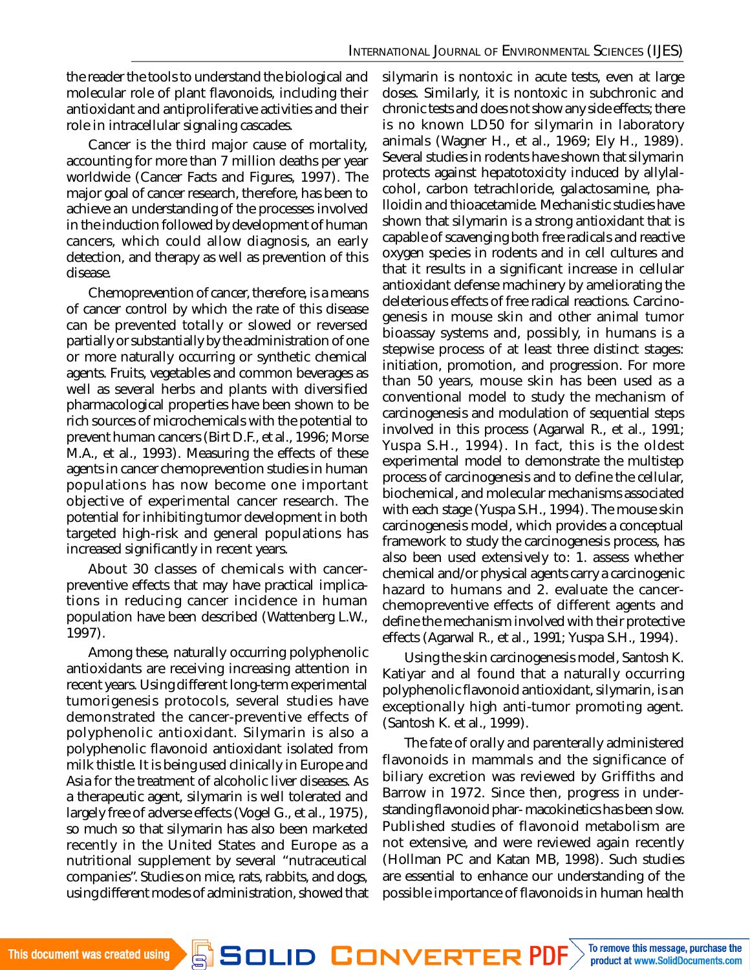the reader the tools to understand the biological and molecular role of plant flavonoids, including their antioxidant and antiproliferative activities and their role in intracellular signaling cascades.

Cancer is the third major cause of mortality, accounting for more than 7 million deaths per year worldwide (Cancer Facts and Figures, 1997). The major goal of cancer research, therefore, has been to achieve an understanding of the processes involved in the induction followed by development of human cancers, which could allow diagnosis, an early detection, and therapy as well as prevention of this disease.

Chemoprevention of cancer, therefore, is a means of cancer control by which the rate of this disease can be prevented totally or slowed or reversed partially or substantially by the administration of one or more naturally occurring or synthetic chemical agents. Fruits, vegetables and common beverages as well as several herbs and plants with diversified pharmacological properties have been shown to be rich sources of microchemicals with the potential to prevent human cancers (Birt D.F., et al., 1996; Morse M.A., et al., 1993). Measuring the effects of these agents in cancer chemoprevention studies in human populations has now become one important objective of experimental cancer research. The potential for inhibiting tumor development in both targeted high-risk and general populations has increased significantly in recent years.

About 30 classes of chemicals with cancerpreventive effects that may have practical implications in reducing cancer incidence in human population have been described (Wattenberg L.W., 1997).

Among these, naturally occurring polyphenolic antioxidants are receiving increasing attention in recent years. Using different long-term experimental tumorigenesis protocols, several studies have demonstrated the cancer-preventive effects of polyphenolic antioxidant. Silymarin is also a polyphenolic flavonoid antioxidant isolated from milk thistle. It is being used clinically in Europe and Asia for the treatment of alcoholic liver diseases. As a therapeutic agent, silymarin is well tolerated and largely free of adverse effects (Vogel G., et al., 1975), so much so that silymarin has also been marketed recently in the United States and Europe as a nutritional supplement by several "nutraceutical companies". Studies on mice, rats, rabbits, and dogs, using different modes of administration, showed that silymarin is nontoxic in acute tests, even at large doses. Similarly, it is nontoxic in subchronic and chronic tests and does not show any side effects; there is no known LD50 for silymarin in laboratory animals (Wagner H., et al., 1969; Ely H., 1989). Several studies in rodents have shown that silymarin protects against hepatotoxicity induced by allylalcohol, carbon tetrachloride, galactosamine, phalloidin and thioacetamide. Mechanistic studies have shown that silymarin is a strong antioxidant that is capable of scavenging both free radicals and reactive oxygen species in rodents and in cell cultures and that it results in a significant increase in cellular antioxidant defense machinery by ameliorating the deleterious effects of free radical reactions. Carcinogenesis in mouse skin and other animal tumor bioassay systems and, possibly, in humans is a stepwise process of at least three distinct stages: initiation, promotion, and progression. For more than 50 years, mouse skin has been used as a conventional model to study the mechanism of carcinogenesis and modulation of sequential steps involved in this process (Agarwal R., et al., 1991; Yuspa S.H., 1994). In fact, this is the oldest experimental model to demonstrate the multistep process of carcinogenesis and to define the cellular, biochemical, and molecular mechanisms associated with each stage (Yuspa S.H., 1994). The mouse skin carcinogenesis model, which provides a conceptual framework to study the carcinogenesis process, has also been used extensively to: 1. assess whether chemical and/or physical agents carry a carcinogenic hazard to humans and 2. evaluate the cancerchemopreventive effects of different agents and define the mechanism involved with their protective effects (Agarwal R., et al., 1991; Yuspa S.H., 1994).

Using the skin carcinogenesis model, Santosh K. Katiyar and al found that a naturally occurring polyphenolic flavonoid antioxidant, silymarin, is an exceptionally high anti-tumor promoting agent. (Santosh K. et al., 1999).

The fate of orally and parenterally administered flavonoids in mammals and the significance of biliary excretion was reviewed by Griffiths and Barrow in 1972. Since then, progress in understanding flavonoid phar- macokinetics has been slow. Published studies of flavonoid metabolism are not extensive, and were reviewed again recently (Hollman PC and Katan MB, 1998). Such studies are essential to enhance our understanding of the possible importance of flavonoids in human health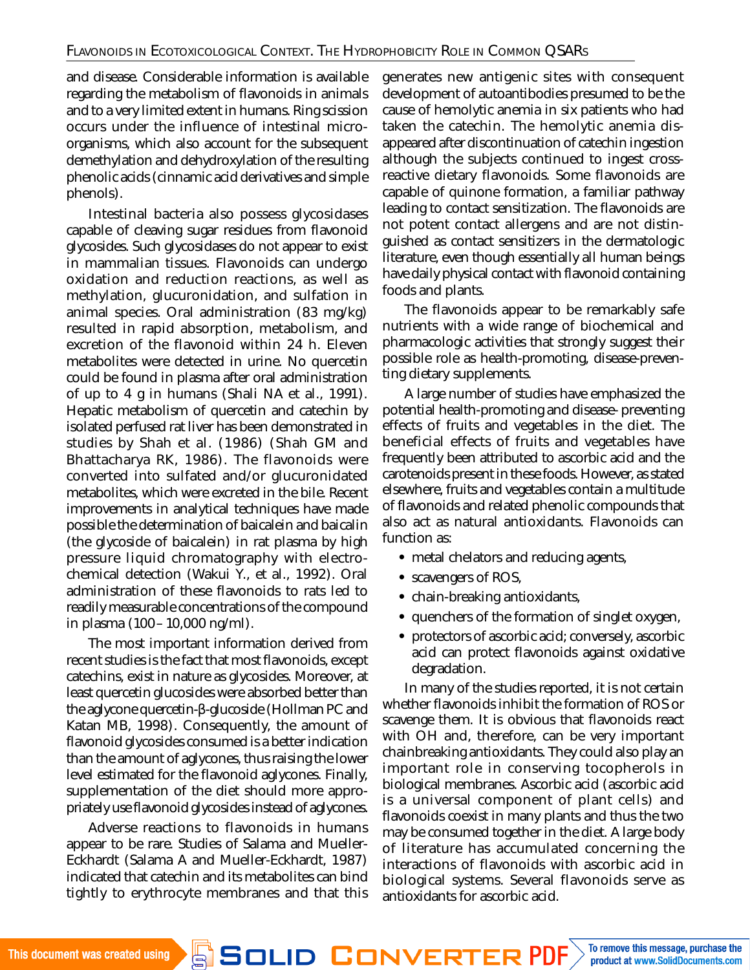and disease. Considerable information is available regarding the metabolism of flavonoids in animals and to a very limited extent in humans. Ring scission occurs under the influence of intestinal microorganisms, which also account for the subsequent demethylation and dehydroxylation of the resulting phenolic acids (cinnamic acid derivatives and simple phenols).

Intestinal bacteria also possess glycosidases capable of cleaving sugar residues from flavonoid glycosides. Such glycosidases do not appear to exist in mammalian tissues. Flavonoids can undergo oxidation and reduction reactions, as well as methylation, glucuronidation, and sulfation in animal species. Oral administration (83 mg/kg) resulted in rapid absorption, metabolism, and excretion of the flavonoid within 24 h. Eleven metabolites were detected in urine. No quercetin could be found in plasma after oral administration of up to 4 g in humans (Shali NA et al., 1991). Hepatic metabolism of quercetin and catechin by isolated perfused rat liver has been demonstrated in studies by Shah et al. (1986) (Shah GM and Bhattacharya RK, 1986). The flavonoids were converted into sulfated and/or glucuronidated metabolites, which were excreted in the bile. Recent improvements in analytical techniques have made possible the determination of baicalein and baicalin (the glycoside of baicalein) in rat plasma by high pressure liquid chromatography with electrochemical detection (Wakui Y., et al., 1992). Oral administration of these flavonoids to rats led to readily measurable concentrations of the compound in plasma (100–10,000 ng/ml).

The most important information derived from recent studies is the fact that most flavonoids, except catechins, exist in nature as glycosides. Moreover, at least quercetin glucosides were absorbed better than the aglycone quercetin-β-glucoside (Hollman PC and Katan MB, 1998). Consequently, the amount of flavonoid glycosides consumed is a better indication than the amount of aglycones, thus raising the lower level estimated for the flavonoid aglycones. Finally, supplementation of the diet should more appropriately use flavonoid glycosides instead of aglycones.

Adverse reactions to flavonoids in humans appear to be rare. Studies of Salama and Mueller-Eckhardt (Salama A and Mueller-Eckhardt, 1987) indicated that catechin and its metabolites can bind tightly to erythrocyte membranes and that this generates new antigenic sites with consequent development of autoantibodies presumed to be the cause of hemolytic anemia in six patients who had taken the catechin. The hemolytic anemia disappeared after discontinuation of catechin ingestion although the subjects continued to ingest crossreactive dietary flavonoids. Some flavonoids are capable of quinone formation, a familiar pathway leading to contact sensitization. The flavonoids are not potent contact allergens and are not distinguished as contact sensitizers in the dermatologic literature, even though essentially all human beings have daily physical contact with flavonoid containing foods and plants.

The flavonoids appear to be remarkably safe nutrients with a wide range of biochemical and pharmacologic activities that strongly suggest their possible role as health-promoting, disease-preventing dietary supplements.

A large number of studies have emphasized the potential health-promoting and disease- preventing effects of fruits and vegetables in the diet. The beneficial effects of fruits and vegetables have frequently been attributed to ascorbic acid and the carotenoids present in these foods. However, as stated elsewhere, fruits and vegetables contain a multitude of flavonoids and related phenolic compounds that also act as natural antioxidants. Flavonoids can function as:

- **•** metal chelators and reducing agents,
- **•** scavengers of ROS,
- **•** chain-breaking antioxidants,
- **•** quenchers of the formation of singlet oxygen,
- **•** protectors of ascorbic acid; conversely, ascorbic acid can protect flavonoids against oxidative degradation.

In many of the studies reported, it is not certain whether flavonoids inhibit the formation of ROS or scavenge them. It is obvious that flavonoids react with OH and, therefore, can be very important chainbreaking antioxidants. They could also play an important role in conserving tocopherols in biological membranes. Ascorbic acid (ascorbic acid is a universal component of plant cells) and flavonoids coexist in many plants and thus the two may be consumed together in the diet. A large body of literature has accumulated concerning the interactions of flavonoids with ascorbic acid in biological systems. Several flavonoids serve as antioxidants for ascorbic acid.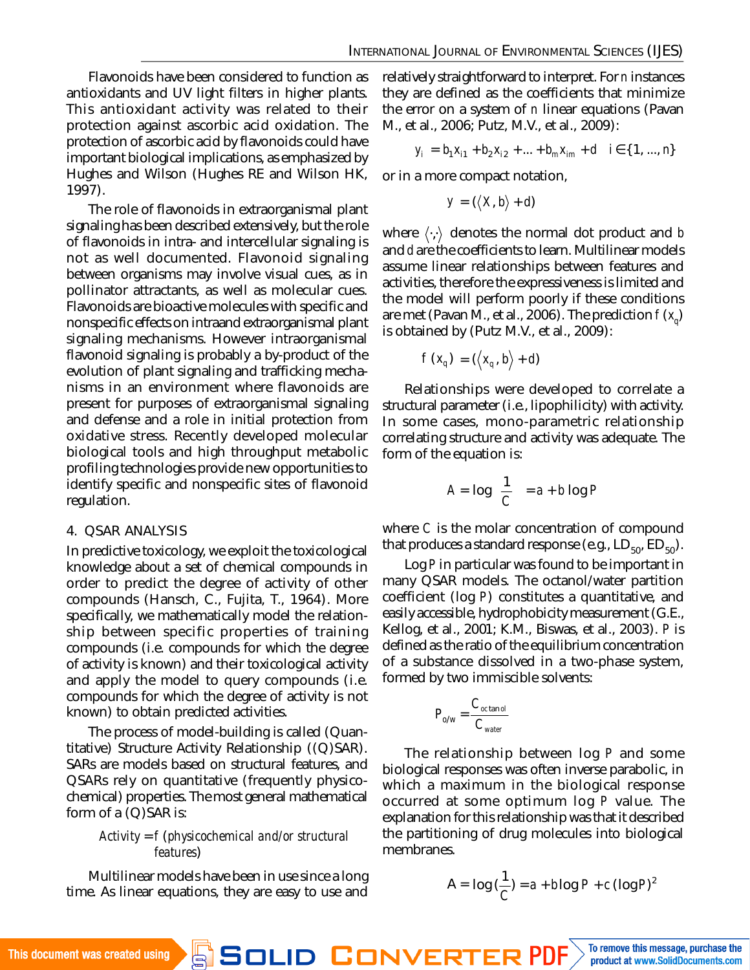Flavonoids have been considered to function as antioxidants and UV light filters in higher plants. This antioxidant activity was related to their protection against ascorbic acid oxidation. The protection of ascorbic acid by flavonoids could have important biological implications, as emphasized by Hughes and Wilson (Hughes RE and Wilson HK, 1997).

The role of flavonoids in extraorganismal plant signaling has been described extensively, but the role of flavonoids in intra- and intercellular signaling is not as well documented. Flavonoid signaling between organisms may involve visual cues, as in pollinator attractants, as well as molecular cues. Flavonoids are bioactive molecules with specific and nonspecific effects on intraand extraorganismal plant signaling mechanisms. However intraorganismal flavonoid signaling is probably a by-product of the evolution of plant signaling and trafficking mechanisms in an environment where flavonoids are present for purposes of extraorganismal signaling and defense and a role in initial protection from oxidative stress. Recently developed molecular biological tools and high throughput metabolic profiling technologies provide new opportunities to identify specific and nonspecific sites of flavonoid regulation.

#### 4. QSAR ANALYSIS

In predictive toxicology, we exploit the toxicological knowledge about a set of chemical compounds in order to predict the degree of activity of other compounds (Hansch, C., Fujita, T., 1964). More specifically, we mathematically model the relationship between specific properties of training compounds (i.e. compounds for which the degree of activity is known) and their toxicological activity and apply the model to query compounds (i.e. compounds for which the degree of activity is not known) to obtain predicted activities.

The process of model-building is called (Quantitative) Structure Activity Relationship ((Q)SAR). SARs are models based on structural features, and QSARs rely on quantitative (frequently physicochemical) properties. The most general mathematical form of a (Q)SAR is:

### *Activity* = *f* (*physicochemical and/or structural features*)

Multilinear models have been in use since a long time. As linear equations, they are easy to use and

relatively straightforward to interpret. For *n* instances they are defined as the coefficients that minimize the error on a system of *n* linear equations (Pavan M., et al., 2006; Putz, M.V., et al., 2009):

$$
y_i = b_1 x_{i1} + b_2 x_{i2} + ... + b_m x_{im} + d \quad i \in \{1, ..., n\}
$$

or in a more compact notation,

$$
y = (\langle X, b \rangle + d)
$$

where  $\langle \cdot, \cdot \rangle$  denotes the normal dot product and **b** and *d* are the coefficients to learn. Multilinear models assume linear relationships between features and activities, therefore the expressiveness is limited and the model will perform poorly if these conditions are met (Pavan M., et al., 2006). The prediction *f* (*x<sup>q</sup>* ) is obtained by (Putz M.V., et al., 2009):

$$
f(x_q) = (\langle x_q, b \rangle + d)
$$

Relationships were developed to correlate a structural parameter (i.e., lipophilicity) with activity. In some cases, mono-parametric relationship correlating structure and activity was adequate. The form of the equation is:

$$
A = \log\left(\frac{1}{C}\right) = a + b \log P
$$

where *C* is the molar concentration of compound that produces a standard response (e.g.,  $LD_{50}$ ,  $ED_{50}$ ).

Log *P* in particular was found to be important in many QSAR models. The octanol/water partition coefficient (log *P*) constitutes a quantitative, and easily accessible, hydrophobicity measurement (G.E., Kellog, et al., 2001; K.M., Biswas, et al., 2003). *P* is defined as the ratio of the equilibrium concentration of a substance dissolved in a two-phase system, formed by two immiscible solvents:

$$
P_{o/w} = \frac{C_{oc \tan o l}}{C_{water}}
$$

The relationship between log *P* and some biological responses was often inverse parabolic, in which a maximum in the biological response occurred at some optimum log *P* value. The explanation for this relationship was that it described the partitioning of drug molecules into biological membranes.

$$
A = \log\left(\frac{1}{C}\right) = a + b \log P + c \left(\log P\right)^2
$$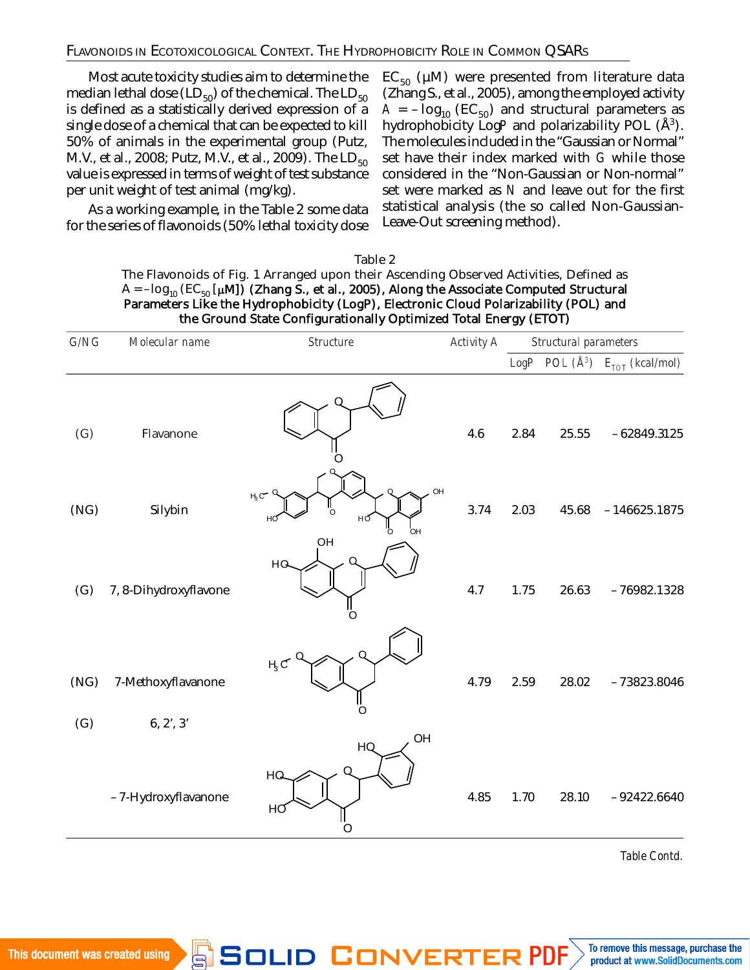### FLAVONOIDS IN ECOTOXICOLOGICAL CONTEXT. THE HYDROPHOBICITY ROLE IN COMMON QSARS

Most acute toxicity studies aim to determine the median lethal dose (LD $_{50}$ ) of the chemical. The LD $_{50}$ is defined as a statistically derived expression of a single dose of a chemical that can be expected to kill 50% of animals in the experimental group (Putz, M.V., et al., 2008; Putz, M.V., et al., 2009). The  $LD_{50}$ value is expressed in terms of weight of test substance per unit weight of test animal (mg/kg).

As a working example, in the Table 2 some data for the series of flavonoids (50% lethal toxicity dose  $EC_{50}$  (µM) were presented from literature data (Zhang S., et al., 2005), among the employed activity  $A = -\log_{10} (EC_{50})$  and structural parameters as hydrophobicity LogP and polarizability POL (Å<sup>3</sup>). The molecules included in the "Gaussian or Normal" set have their index marked with *G* while those considered in the "Non-Gaussian or Non-normal" set were marked as *N* and leave out for the first statistical analysis (the so called Non-Gaussian-Leave-Out screening method).

#### Table 2

The Flavonoids of Fig. 1 Arranged upon their Ascending Observed Activities, Defined as  $A = -\log_{10} (EC_{50} [\mu M])$  (Zhang S., et al., 2005), Along the Associate Computed Structural Parameters Like the Hydrophobicity (LogP), Electronic Cloud Polarizability (POL) and the Ground State Configurationally Optimized Total Energy (ETOT)

| G/NG        | Molecular name                  | Structure                                        | Activity A | Structural parameters |       |                                                      |
|-------------|---------------------------------|--------------------------------------------------|------------|-----------------------|-------|------------------------------------------------------|
|             |                                 |                                                  |            |                       |       | LogP POL $(\tilde{A}^3)$ $E_{\text{TOT}}$ (kcal/mol) |
| (G)         | Flavanone                       |                                                  | 4.6        | 2.84                  | 25.55 | $-62849.3125$                                        |
| (NG)        | Silybin                         | OH<br>$H_3C^{\!\bullet}$<br>нd<br>нđ<br>OН<br>OH | 3.74       | 2.03                  | 45.68 | $-146625.1875$                                       |
| (G)         | 7, 8-Dihydroxyflavone           | HQ                                               | 4.7        | 1.75                  | 26.63 | $-76982.1328$                                        |
| (NG)<br>(G) | 7-Methoxyflavanone<br>6, 2', 3' | ӊc<br>Ω                                          | 4.79       | 2.59                  | 28.02 | $-73823.8046$                                        |
|             | -7-Hydroxyflavanone             | OH<br>HQ<br>HQ<br>HO<br>O                        | 4.85       | 1.70                  | 28.10 | $-92422.6640$                                        |

*Table Contd.*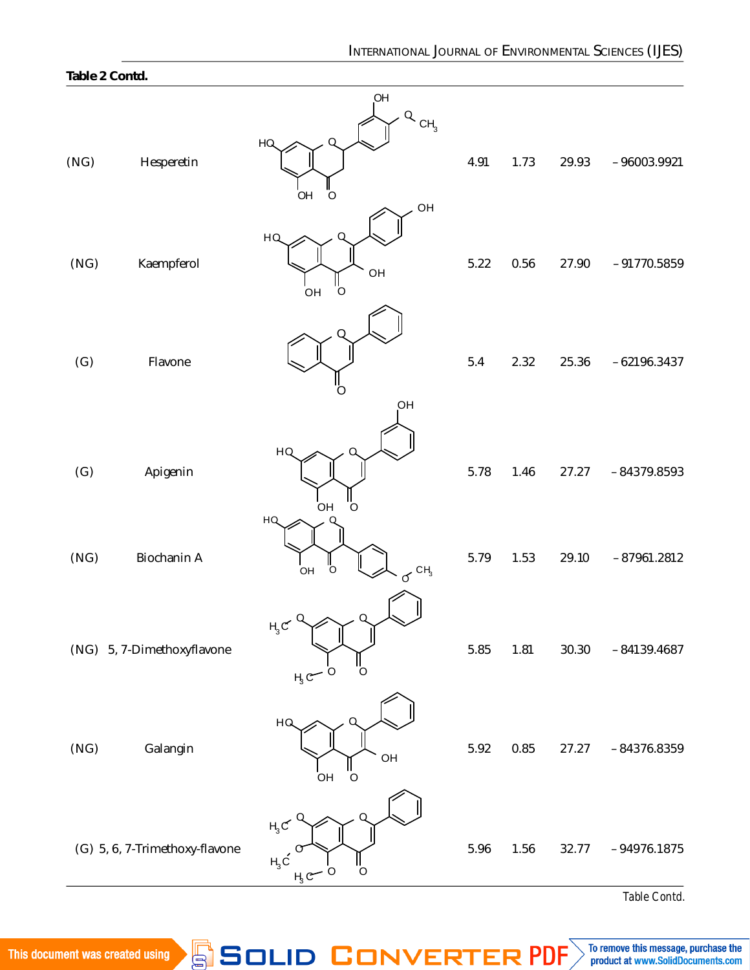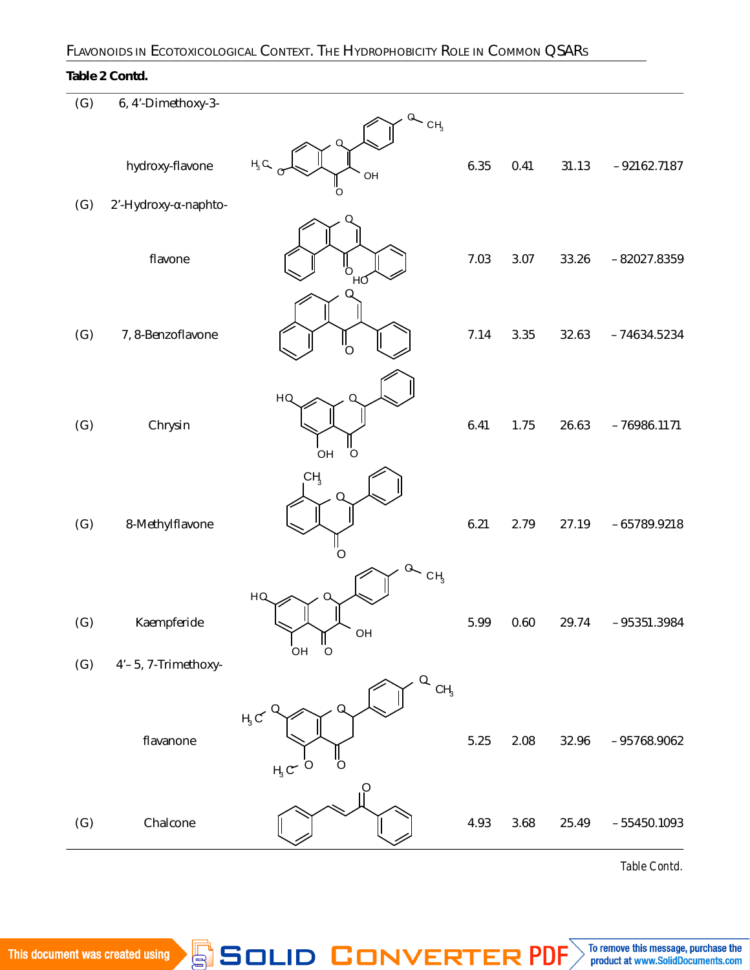## FLAVONOIDS IN ECOTOXICOLOGICAL CONTEXT. THE HYDROPHOBICITY ROLE IN COMMON QSAR<sup>S</sup> **145**

### **Table 2 Contd.**

| (G)        | 6, 4'-Dimethoxy-3-                 |                                                                |      |      |       |               |
|------------|------------------------------------|----------------------------------------------------------------|------|------|-------|---------------|
|            | hydroxy-flavone                    | $Q_{CH_3}$<br>$H_3 G$<br>OH                                    | 6.35 | 0.41 | 31.13 | $-92162.7187$ |
| (G)        | 2'-Hydroxy-α-naphto-               |                                                                |      |      |       |               |
|            | flavone                            | ΉΟ                                                             | 7.03 | 3.07 | 33.26 | $-82027.8359$ |
| (G)        | 7, 8-Benzoflavone                  |                                                                | 7.14 | 3.35 | 32.63 | $-74634.5234$ |
| (G)        | Chrysin                            | HQ<br>"o<br>OH                                                 | 6.41 | 1.75 | 26.63 | $-76986.1171$ |
| (G)        | 8-Methylflavone                    | CH <sub>3</sub><br>O                                           | 6.21 | 2.79 | 27.19 | $-65789.9218$ |
| (G)<br>(G) | Kaempferide<br>4'-5, 7-Trimethoxy- | CH <sub>3</sub><br>HQ<br>OH<br>$\frac{1}{\sigma}$<br>OH        | 5.99 | 0.60 | 29.74 | $-95351.3984$ |
|            | flavanone                          | $\alpha$ cH <sub>3</sub><br>$H_3C$<br>O<br>$H_3C$ <sup>O</sup> | 5.25 | 2.08 | 32.96 | $-95768.9062$ |
| (G)        | Chalcone                           | Ö                                                              | 4.93 | 3.68 | 25.49 | $-55450.1093$ |

*Table Contd.*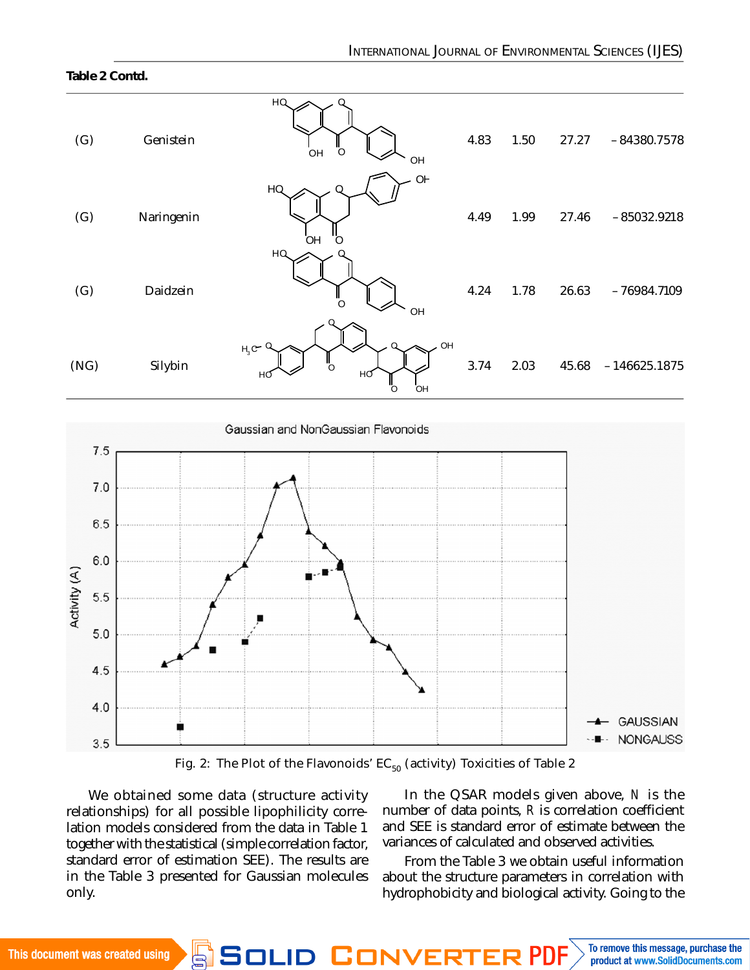#### **Table 2 Contd.**

| (G)  | Genistein  | HQ<br>Ω<br>Ö<br>OH<br>OH                               | 4.83 | 1.50 | 27.27 | $-84380.7578$  |
|------|------------|--------------------------------------------------------|------|------|-------|----------------|
| (G)  | Naringenin | O <sub>F</sub><br>HQ<br>OН<br>O<br>HQ                  | 4.49 | 1.99 | 27.46 | $-85032.9218$  |
| (G)  | Daidzein   | O<br>OH                                                | 4.24 | 1.78 | 26.63 | $-76984.7109$  |
| (NG) | Silybin    | OH<br>$\Omega$<br>$H_3C^-$<br>Ő<br>НΟ<br>нб<br>Ö<br>OH | 3.74 | 2.03 | 45.68 | $-146625.1875$ |



Fig. 2: The Plot of the Flavonoids'  $EC_{50}$  (activity) Toxicities of Table 2

We obtained some data (structure activity relationships) for all possible lipophilicity correlation models considered from the data in Table 1 together with the statistical (simple correlation factor, standard error of estimation SEE). The results are in the Table 3 presented for Gaussian molecules only.

In the QSAR models given above, *N* is the number of data points, *R* is correlation coefficient and SEE is standard error of estimate between the variances of calculated and observed activities.

From the Table 3 we obtain useful information about the structure parameters in correlation with hydrophobicity and biological activity. Going to the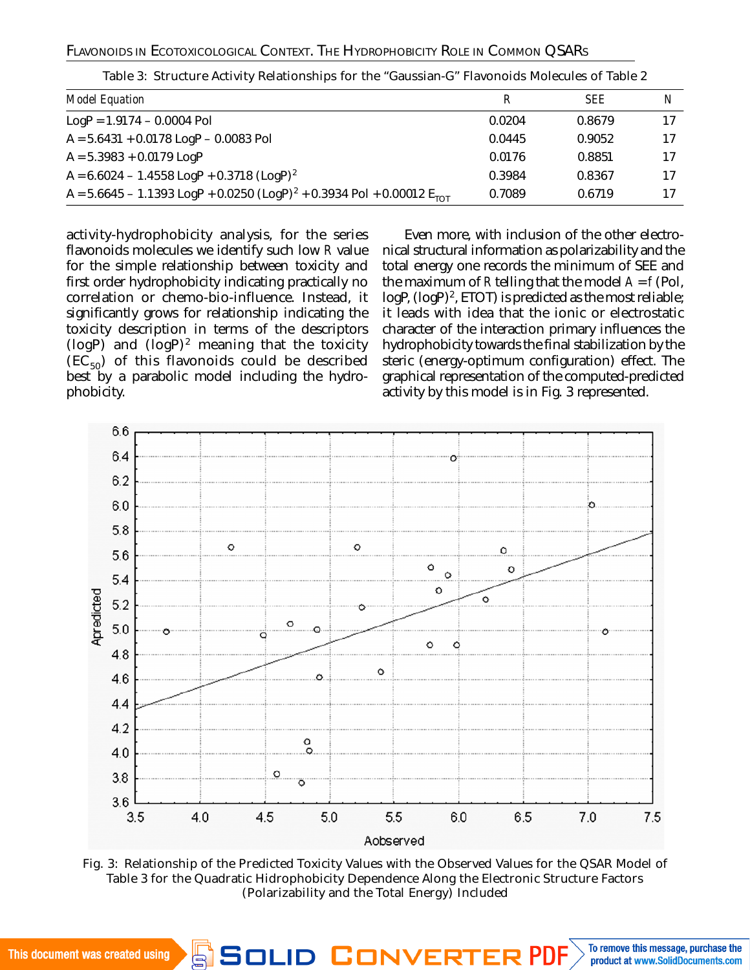### FLAVONOIDS IN ECOTOXICOLOGICAL CONTEXT. THE HYDROPHOBICITY ROLE IN COMMON QSARS

| Model Equation                                                                                | R      | <b>SFF</b> | N  |
|-----------------------------------------------------------------------------------------------|--------|------------|----|
| $LogP = 1.9174 - 0.0004$ Pol                                                                  | 0.0204 | 0.8679     |    |
| $A = 5.6431 + 0.0178$ LogP - 0.0083 Pol                                                       | 0.0445 | 0.9052     |    |
| $A = 5.3983 + 0.0179$ LogP                                                                    | 0.0176 | 0.8851     |    |
| A = $6.6024 - 1.4558$ LogP + 0.3718 (LogP) <sup>2</sup>                                       | 0.3984 | 0.8367     | 17 |
| A = 5.6645 - 1.1393 LogP + 0.0250 (LogP) <sup>2</sup> + 0.3934 Pol + 0.00012 E <sub>TOT</sub> | 0.7089 | 0.6719     |    |

Table 3: Structure Activity Relationships for the "Gaussian-G" Flavonoids Molecules of Table 2

activity-hydrophobicity analysis, for the series flavonoids molecules we identify such low *R* value for the simple relationship between toxicity and first order hydrophobicity indicating practically no correlation or chemo-bio-influence. Instead, it significantly grows for relationship indicating the toxicity description in terms of the descriptors ( $\log P$ ) and  $(\log P)^2$  meaning that the toxicity  $(EC_{50})$  of this flavonoids could be described best by a parabolic model including the hydrophobicity.

Even more, with inclusion of the other electronical structural information as polarizability and the total energy one records the minimum of SEE and the maximum of  $R$  telling that the model  $A = f$  (Pol,  $log P$ ,  $(log P)^2$ , ETOT) is predicted as the most reliable; it leads with idea that the ionic or electrostatic character of the interaction primary influences the hydrophobicity towards the final stabilization by the steric (energy-optimum configuration) effect. The graphical representation of the computed-predicted activity by this model is in Fig. 3 represented.



Fig. 3: Relationship of the Predicted Toxicity Values with the Observed Values for the QSAR Model of Table 3 for the Quadratic Hidrophobicity Dependence Along the Electronic Structure Factors (Polarizability and the Total Energy) Included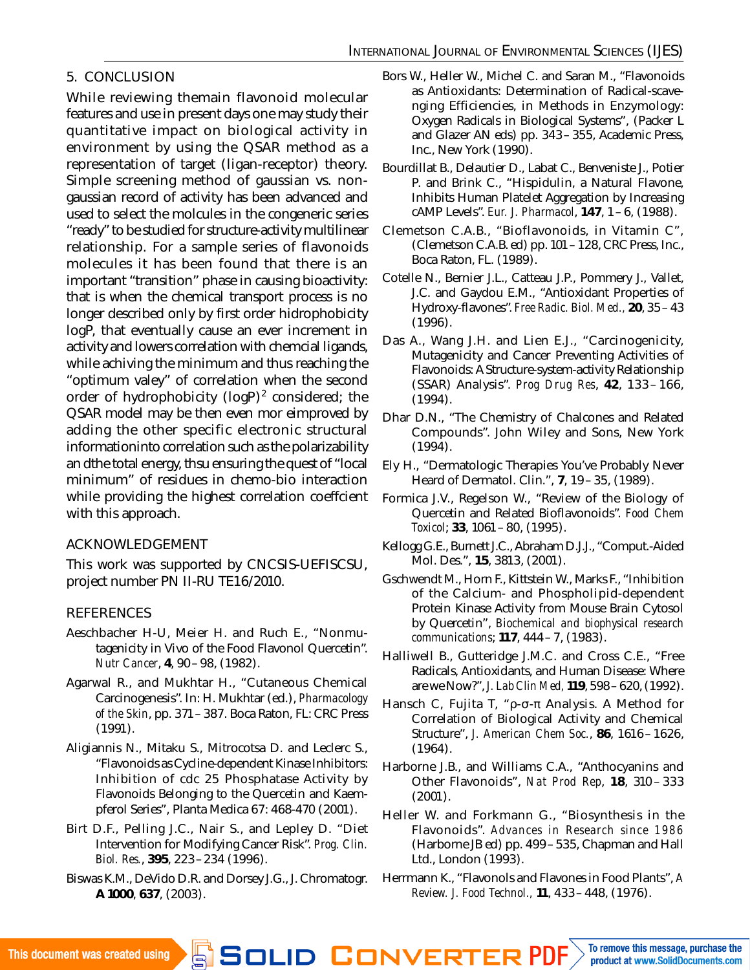## 5. CONCLUSION

While reviewing themain flavonoid molecular features and use in present days one may study their quantitative impact on biological activity in environment by using the QSAR method as a representation of target (ligan-receptor) theory. Simple screening method of gaussian vs. nongaussian record of activity has been advanced and used to select the molcules in the congeneric series "ready" to be studied for structure-activity multilinear relationship. For a sample series of flavonoids molecules it has been found that there is an important "transition" phase in causing bioactivity: that is when the chemical transport process is no longer described only by first order hidrophobicity logP, that eventually cause an ever increment in activity and lowers correlation with chemcial ligands, while achiving the minimum and thus reaching the "optimum valey" of correlation when the second order of hydrophobicity (logP) $^{\rm 2}$  considered; the QSAR model may be then even mor eimproved by adding the other specific electronic structural informationinto correlation such as the polarizability an dthe total energy, thsu ensuring the quest of "local minimum" of residues in chemo-bio interaction while providing the highest correlation coeffcient with this approach.

## ACKNOWLEDGEMENT

This work was supported by CNCSIS-UEFISCSU, project number PN II-RU TE16/2010.

## **REFERENCES**

- Aeschbacher H-U, Meier H. and Ruch E., "Nonmutagenicity in Vivo of the Food Flavonol Quercetin". *Nutr Cancer*, **4**, 90–98, (1982).
- Agarwal R., and Mukhtar H., "Cutaneous Chemical Carcinogenesis". In: H. Mukhtar (ed.), *Pharmacology of the Skin*, pp. 371–387. Boca Raton, FL: CRC Press (1991).
- Aligiannis N., Mitaku S., Mitrocotsa D. and Leclerc S., "Flavonoids as Cycline-dependent Kinase Inhibitors: Inhibition of cdc 25 Phosphatase Activity by Flavonoids Belonging to the Quercetin and Kaempferol Series", Planta Medica 67: 468-470 (2001).
- Birt D.F., Pelling J.C., Nair S., and Lepley D. "Diet Intervention for Modifying Cancer Risk". *Prog. Clin. Biol. Res.*, **395**, 223–234 (1996).
- Biswas K.M., DeVido D.R. and Dorsey J.G., J. Chromatogr. **A 1000**, **637**, (2003).
- Bors W., Heller W., Michel C. and Saran M., "Flavonoids as Antioxidants: Determination of Radical-scavenging Efficiencies, in Methods in Enzymology: Oxygen Radicals in Biological Systems", (Packer L and Glazer AN eds) pp. 343–355, Academic Press, Inc., New York (1990).
- Bourdillat B., Delautier D., Labat C., Benveniste J., Potier P. and Brink C., "Hispidulin, a Natural Flavone, Inhibits Human Platelet Aggregation by Increasing cAMP Levels". *Eur. J. Pharmacol*, **147**, 1–6, (1988).
- Clemetson C.A.B., "Bioflavonoids, in Vitamin C", (Clemetson C.A.B. ed) pp. 101–128, CRC Press, Inc., Boca Raton, FL. (1989).
- Cotelle N., Bernier J.L., Catteau J.P., Pommery J., Vallet, J.C. and Gaydou E.M., "Antioxidant Properties of Hydroxy-flavones". *Free Radic. Biol. Med.,* **20**, 35–43 (1996).
- Das A., Wang J.H. and Lien E.J., "Carcinogenicity, Mutagenicity and Cancer Preventing Activities of Flavonoids: A Structure-system-activity Relationship (SSAR) Analysis". *Prog Drug Res*, **42**, 133 – 166, (1994).
- Dhar D.N., "The Chemistry of Chalcones and Related Compounds". John Wiley and Sons, New York (1994).
- Ely H., "Dermatologic Therapies You've Probably Never Heard of Dermatol. Clin.", **7**, 19–35, (1989).
- Formica J.V., Regelson W., "Review of the Biology of Quercetin and Related Bioflavonoids". *Food Chem Toxicol*; **33**, 1061–80, (1995).
- Kellogg G.E., Burnett J.C., Abraham D.J.J., "Comput.-Aided Mol. Des.", **15**, 3813, (2001).
- Gschwendt M., Horn F., Kittstein W., Marks F., "Inhibition of the Calcium- and Phospholipid-dependent Protein Kinase Activity from Mouse Brain Cytosol by Quercetin", *Biochemical and biophysical research communications*; **117**, 444–7, (1983).
- Halliwell B., Gutteridge J.M.C. and Cross C.E., "Free Radicals, Antioxidants, and Human Disease: Where are we Now?", *J. Lab Clin Med,* **119**, 598–620, (1992).
- Hansch C, Fujita T, "ρ-σ-π Analysis. A Method for Correlation of Biological Activity and Chemical Structure", *J. American Chem Soc.*, **86**, 1616–1626, (1964).
- Harborne J.B., and Williams C.A., "Anthocyanins and Other Flavonoids", *Nat Prod Rep*, **18**, 310 – 333  $(2001)$ .
- Heller W. and Forkmann G., "Biosynthesis in the Flavonoids". *Advances in Research since 1986* (Harborne JB ed) pp. 499–535, Chapman and Hall Ltd., London (1993).
- Herrmann K., "Flavonols and Flavones in Food Plants", *A Review. J. Food Technol.,* **11**, 433–448, (1976).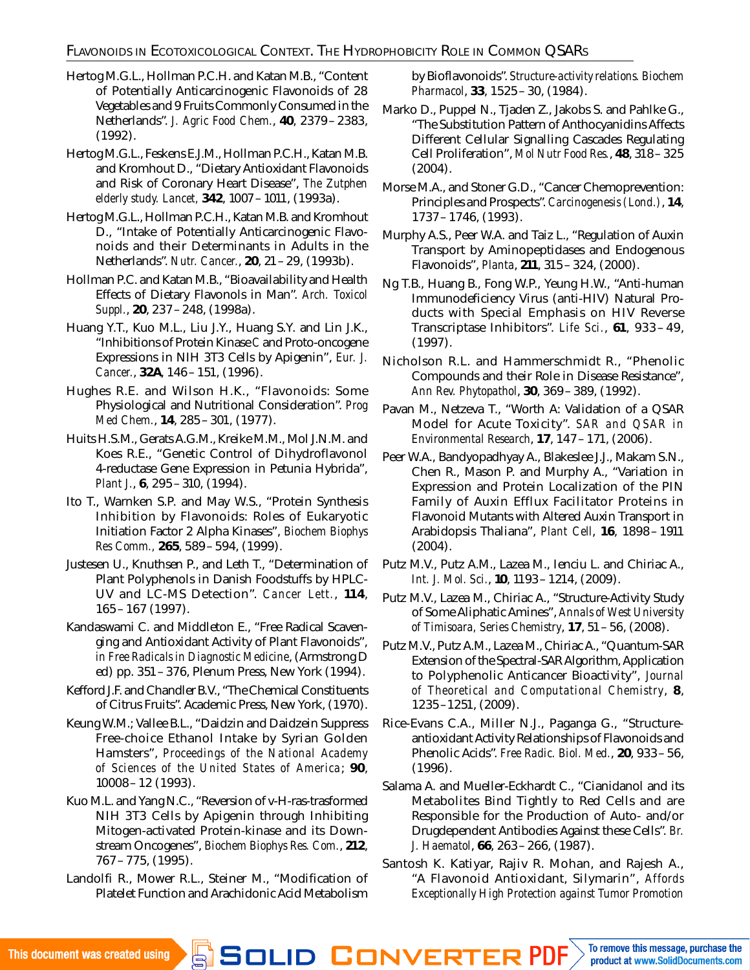- Hertog M.G.L., Hollman P.C.H. and Katan M.B., "Content of Potentially Anticarcinogenic Flavonoids of 28 Vegetables and 9 Fruits Commonly Consumed in the Netherlands". *J. Agric Food Chem.*, **40**, 2379–2383, (1992).
- Hertog M.G.L., Feskens E.J.M., Hollman P.C.H., Katan M.B. and Kromhout D., "Dietary Antioxidant Flavonoids and Risk of Coronary Heart Disease", *The Zutphen elderly study. Lancet,* **342**, 1007–1011, (1993a).
- Hertog M.G.L., Hollman P.C.H., Katan M.B. and Kromhout D., "Intake of Potentially Anticarcinogenic Flavonoids and their Determinants in Adults in the Netherlands". *Nutr. Cancer.*, **20**, 21–29, (1993b).
- Hollman P.C. and Katan M.B., "Bioavailability and Health Effects of Dietary Flavonols in Man". *Arch. Toxicol Suppl.*, **20**, 237–248, (1998a).
- Huang Y.T., Kuo M.L., Liu J.Y., Huang S.Y. and Lin J.K., "Inhibitions of Protein Kinase *C* and Proto-oncogene Expressions in NIH 3T3 Cells by Apigenin", *Eur. J. Cancer.*, **32A**, 146–151, (1996).
- Hughes R.E. and Wilson H.K., "Flavonoids: Some Physiological and Nutritional Consideration". *Prog Med Chem.*, **14**, 285–301, (1977).
- Huits H.S.M., Gerats A.G.M., Kreike M.M., Mol J.N.M. and Koes R.E., "Genetic Control of Dihydroflavonol 4-reductase Gene Expression in Petunia Hybrida", *Plant J.*, **6**, 295–310, (1994).
- Ito T., Warnken S.P. and May W.S., "Protein Synthesis Inhibition by Flavonoids: Roles of Eukaryotic Initiation Factor 2 Alpha Kinases", *Biochem Biophys Res Comm.,* **265**, 589–594, (1999).
- Justesen U., Knuthsen P., and Leth T., "Determination of Plant Polyphenols in Danish Foodstuffs by HPLC-UV and LC-MS Detection". *Cancer Lett.*, **114**, 165–167 (1997).
- Kandaswami C. and Middleton E., "Free Radical Scavenging and Antioxidant Activity of Plant Flavonoids", *in Free Radicals in Diagnostic Medicine*, (Armstrong D ed) pp. 351–376, Plenum Press, New York (1994).
- Kefford J.F. and Chandler B.V., "The Chemical Constituents of Citrus Fruits". Academic Press, New York, (1970).
- Keung W.M.; Vallee B.L., "Daidzin and Daidzein Suppress Free-choice Ethanol Intake by Syrian Golden Hamsters", *Proceedings of the National Academy of Sciences of the United States of America*; **90**, 10008–12 (1993).
- Kuo M.L. and Yang N.C., "Reversion of v-H-ras-trasformed NIH 3T3 Cells by Apigenin through Inhibiting Mitogen-activated Protein-kinase and its Downstream Oncogenes", *Biochem Biophys Res. Com.*, **212**, 767–775, (1995).
- Landolfi R., Mower R.L., Steiner M., "Modification of Platelet Function and Arachidonic Acid Metabolism

by Bioflavonoids". *Structure-activity relations. Biochem Pharmacol*, **33**, 1525–30, (1984).

- Marko D., Puppel N., Tjaden Z., Jakobs S. and Pahlke G., "The Substitution Pattern of Anthocyanidins Affects Different Cellular Signalling Cascades Regulating Cell Proliferation", *Mol Nutr Food Res.*, **48**, 318–325 (2004).
- Morse M.A., and Stoner G.D., "Cancer Chemoprevention: Principles and Prospects". *Carcinogenesis (Lond.)*, **14**, 1737–1746, (1993).
- Murphy A.S., Peer W.A. and Taiz L., "Regulation of Auxin Transport by Aminopeptidases and Endogenous Flavonoids", *Planta*, **211**, 315–324, (2000).
- Ng T.B., Huang B., Fong W.P., Yeung H.W., "Anti-human Immunodeficiency Virus (anti-HIV) Natural Products with Special Emphasis on HIV Reverse Transcriptase Inhibitors". *Life Sci.*, **61**, 933 – 49, (1997).
- Nicholson R.L. and Hammerschmidt R., "Phenolic Compounds and their Role in Disease Resistance", *Ann Rev. Phytopathol*, **30**, 369–389, (1992).
- Pavan M., Netzeva T., "Worth A: Validation of a QSAR Model for Acute Toxicity". *SAR and QSAR in Environmental Research*, **17**, 147–171, (2006).
- Peer W.A., Bandyopadhyay A., Blakeslee J.J., Makam S.N., Chen R., Mason P. and Murphy A., "Variation in Expression and Protein Localization of the PIN Family of Auxin Efflux Facilitator Proteins in Flavonoid Mutants with Altered Auxin Transport in Arabidopsis Thaliana", *Plant Cell*, **16**, 1898 –1911 (2004).
- Putz M.V., Putz A.M., Lazea M., Ienciu L. and Chiriac A., *Int. J. Mol. Sci.*, **10**, 1193–1214, (2009).
- Putz M.V., Lazea M., Chiriac A., "Structure-Activity Study of Some Aliphatic Amines", *Annals of West University of Timisoara, Series Chemistry*, **17**, 51–56, (2008).
- Putz M.V., Putz A.M., Lazea M., Chiriac A., "Quantum-SAR Extension of the Spectral-SAR Algorithm, Application to Polyphenolic Anticancer Bioactivity", *Journal of Theoretical and Computational Chemistry*, **8**, 1235–1251, (2009).
- Rice-Evans C.A., Miller N.J., Paganga G., "Structureantioxidant Activity Relationships of Flavonoids and Phenolic Acids". *Free Radic. Biol. Med.*, **20**, 933–56, (1996).
- Salama A. and Mueller-Eckhardt C., "Cianidanol and its Metabolites Bind Tightly to Red Cells and are Responsible for the Production of Auto- and/or Drugdependent Antibodies Against these Cells". *Br. J. Haematol*, **66**, 263–266, (1987).
- Santosh K. Katiyar, Rajiv R. Mohan, and Rajesh A., "A Flavonoid Antioxidant, Silymarin", *Affords Exceptionally High Protection against Tumor Promotion*